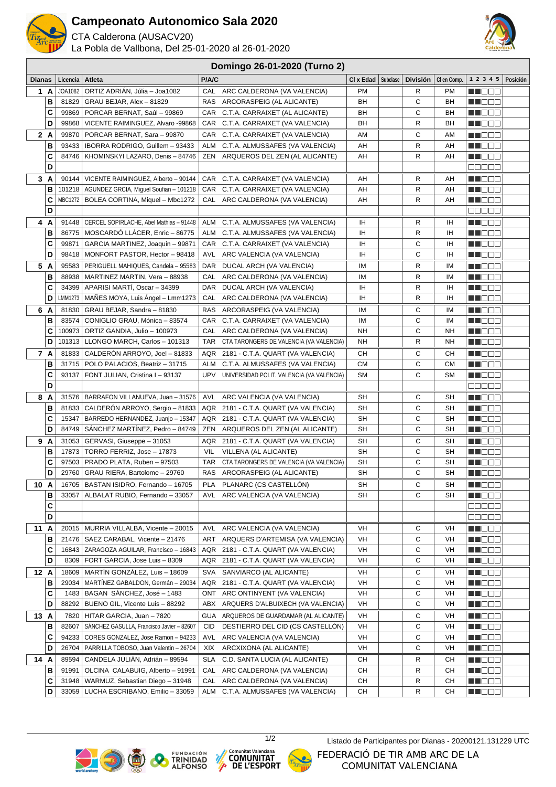

## **Campeonato Autonomico Sala 2020**

CTA Calderona (AUSACV20)

La Pobla de Vallbona, Del 25-01-2020 al 26-01-2020



## **Domingo 26-01-2020 (Turno 2)**

| <b>Dianas</b> |                   | Licencia   Atleta |                                                                      | P/A/C      |                                                                  | $CI \times Edad$   Subclase | <b>División</b> | CI en Comp. | 1 2 3 4 5   Posición                                                                                                                                                                                                             |  |
|---------------|-------------------|-------------------|----------------------------------------------------------------------|------------|------------------------------------------------------------------|-----------------------------|-----------------|-------------|----------------------------------------------------------------------------------------------------------------------------------------------------------------------------------------------------------------------------------|--|
|               | 1 A               | JOA1082           | ORTIZ ADRIÁN, Júlia - Joa1082                                        |            | CAL ARC CALDERONA (VA VALENCIA)                                  | <b>PM</b>                   | R               | PM          | M DO S                                                                                                                                                                                                                           |  |
|               | B                 | 81829             | GRAU BEJAR, Alex - 81829                                             |            | RAS ARCORASPEIG (AL ALICANTE)                                    | BH                          | C               | BH          | <u> El Bell</u>                                                                                                                                                                                                                  |  |
|               | C                 | 99869             | PORCAR BERNAT, Saúl - 99869                                          |            | CAR C.T.A. CARRAIXET (AL ALICANTE)                               | BH                          | C               | BH          | MH O O O                                                                                                                                                                                                                         |  |
|               | D                 | 99868             | VICENTE RAIMINGUEZ, Alvaro -99868                                    |            | CAR C.T.A. CARRAIXET (VA VALENCIA)                               | BH                          | R               | BН          | M D D D                                                                                                                                                                                                                          |  |
|               | 2 A               | 99870             | PORCAR BERNAT, Sara - 99870                                          |            | CAR C.T.A. CARRAIXET (VA VALENCIA)                               | AM                          | С               | AM          | M DE E                                                                                                                                                                                                                           |  |
|               | B                 | 93433             | IBORRA RODRIGO, Guillem - 93433                                      | ALM        | C.T.A. ALMUSSAFES (VA VALENCIA)                                  | AH                          | R               | AH          | M NO OC                                                                                                                                                                                                                          |  |
|               | С                 | 84746             | KHOMINSKYI LAZARO, Denis - 84746                                     |            | ZEN ARQUEROS DEL ZEN (AL ALICANTE)                               | AH                          | R               | AH          | <b>HE</b> OOO                                                                                                                                                                                                                    |  |
|               | D                 |                   |                                                                      |            |                                                                  |                             |                 |             | 88888                                                                                                                                                                                                                            |  |
|               | 3A                |                   | 90144   VICENTE RAIMINGUEZ, Alberto - 90144                          |            | CAR C.T.A. CARRAIXET (VA VALENCIA)                               | AH                          | R               | AH          | M M M M M                                                                                                                                                                                                                        |  |
|               | в                 |                   | 101218   AGUNDEZ GRCIA, Miquel Soufian - 101218                      |            | CAR C.T.A. CARRAIXET (VA VALENCIA)                               | AH                          | R               | AH          | MT OO E                                                                                                                                                                                                                          |  |
|               | С                 |                   | MBC1272   BOLEA CORTINA, Miquel - Mbc1272                            |            | CAL ARC CALDERONA (VA VALENCIA)                                  | AH                          | R               | AH          | N NO BEL                                                                                                                                                                                                                         |  |
|               | D                 |                   |                                                                      |            |                                                                  |                             |                 |             | <b>00000</b>                                                                                                                                                                                                                     |  |
|               | 4 A               |                   | 91448   CERCEL SOPIRLACHE, Abel Mathias - 91448                      |            | ALM C.T.A. ALMUSSAFES (VA VALENCIA)                              | IH                          | R               | IH          | M NO O O                                                                                                                                                                                                                         |  |
|               | в                 | 86775             | MOSCARDÓ LLÁCER, Enric - 86775                                       |            | ALM C.T.A. ALMUSSAFES (VA VALENCIA)                              | ΙH<br>ΙH                    | R<br>C          | IH<br>IH    | MU DE S                                                                                                                                                                                                                          |  |
|               | C<br>D            | 99871<br>98418    | GARCIA MARTINEZ, Joaquin - 99871<br>MONFORT PASTOR, Hector - 98418   | AVL        | CAR C.T.A. CARRAIXET (VA VALENCIA)<br>ARC VALENCIA (VA VALENCIA) | ΙH                          | С               | IH          | M NO O O<br>M DO D                                                                                                                                                                                                               |  |
|               |                   |                   |                                                                      |            |                                                                  |                             |                 |             |                                                                                                                                                                                                                                  |  |
|               | 5 A<br>В          | 95583<br>88938    | PERIGUELL MAHIQUES, Candela - 95583<br>MARTINEZ MARTIN, Vera - 88938 | CAL        | DAR DUCAL ARCH (VA VALENCIA)<br>ARC CALDERONA (VA VALENCIA)      | ΙM<br>ΙM                    | R<br>R          | IM<br>IМ    | MN OO O<br><b>NNOCO</b>                                                                                                                                                                                                          |  |
|               | C                 | 34399             | APARISI MARTI, Oscar - 34399                                         |            | DAR DUCAL ARCH (VA VALENCIA)                                     | ΙH                          | R               | IH          | M D D O                                                                                                                                                                                                                          |  |
|               | D                 | LMM1273           | MAÑES MOYA, Luis Angel - Lmm1273                                     | CAL        | ARC CALDERONA (VA VALENCIA)                                      | ΙH                          | R               | IH          | M D D D D                                                                                                                                                                                                                        |  |
|               | 6 A               | 81830             | GRAU BEJAR, Sandra - 81830                                           | RAS        | ARCORASPEIG (VA VALENCIA)                                        | ΙM                          | С               | ΙM          | MN 888                                                                                                                                                                                                                           |  |
|               | B                 | 83574             | CONIGLIO GRAU, Mónica - 83574                                        |            | CAR C.T.A. CARRAIXET (VA VALENCIA)                               | IM                          | С               | ΙM          | e de la construcción de la construcción de la consecución de la consecución de la consecución de la consecució<br>Del consecución de la consecución de la consecución de la consecución de la consecución de la consecución de l |  |
|               | C                 | 100973            | ORTIZ GANDIA, Julio - 100973                                         |            | CAL ARC CALDERONA (VA VALENCIA)                                  | NH                          | C               | NΗ          | MU O O O                                                                                                                                                                                                                         |  |
|               | D                 |                   | 101313   LLONGO MARCH, Carlos - 101313                               |            | TAR CTA TARONGERS DE VALENCIA (VA VALENCIA)                      | NH                          | $\mathsf{R}$    | NH          | M D D O                                                                                                                                                                                                                          |  |
|               | 7 A               | 81833             | CALDERÓN ARROYO, Joel - 81833                                        |            | AQR 2181 - C.T.A. QUART (VA VALENCIA)                            | CН                          | C               | CН          | MT O B O                                                                                                                                                                                                                         |  |
|               | B                 |                   | 31715   POLO PALACIOS, Beatriz - 31715                               |            | ALM C.T.A. ALMUSSAFES (VA VALENCIA)                              | <b>CM</b>                   | C               | СM          | N NO D O                                                                                                                                                                                                                         |  |
|               | C                 | 93137             | FONT JULIAN, Cristina I - 93137                                      | UPV        | UNIVERSIDAD POLIT. VALENCIA (VA VALENCIA)                        | SΜ                          | C               | SΜ          | <u> Liber</u>                                                                                                                                                                                                                    |  |
|               | D                 |                   |                                                                      |            |                                                                  |                             |                 |             | 88888                                                                                                                                                                                                                            |  |
|               | 8 A               | 31576             | BARRAFON VILLANUEVA, Juan - 31576                                    | AVL        | ARC VALENCIA (VA VALENCIA)                                       | SH                          | С               | SΗ          | M D D D                                                                                                                                                                                                                          |  |
|               | B                 |                   | 81833   CALDERON ARROYO, Sergio - 81833                              |            | AQR 2181 - C.T.A. QUART (VA VALENCIA)                            | SH                          | C               | SH          | MT OO S                                                                                                                                                                                                                          |  |
|               | C                 | 15347             | BARREDO HERNANDEZ, Juanjo - 15347                                    |            | AQR 2181 - C.T.A. QUART (VA VALENCIA)                            | <b>SH</b>                   | C               | SН          | MI DE L                                                                                                                                                                                                                          |  |
|               | D                 | 84749             | SÁNCHEZ MARTÍNEZ, Pedro - 84749                                      |            | ZEN ARQUEROS DEL ZEN (AL ALICANTE)                               | <b>SH</b>                   | C               | <b>SH</b>   | M DO D                                                                                                                                                                                                                           |  |
|               | 9 A               | 31053             | GERVASI, Giuseppe - 31053                                            |            | AQR 2181 - C.T.A. QUART (VA VALENCIA)                            | SH                          | С               | SН          | <u> HILLE</u>                                                                                                                                                                                                                    |  |
|               | в                 | 17873             | TORRO FERRIZ, Jose - 17873                                           | VIL        | VILLENA (AL ALICANTE)                                            | <b>SH</b>                   | C               | <b>SH</b>   | M TOO O                                                                                                                                                                                                                          |  |
|               | C                 | 97503             | PRADO PLATA, Ruben - 97503                                           |            | TAR CTA TARONGERS DE VALENCIA (VA VALENCIA)                      | SH                          | C               | SΗ          | M O O O                                                                                                                                                                                                                          |  |
|               | D                 | 29760             | GRAU RIERA, Bartolome - 29760                                        |            | RAS ARCORASPEIG (AL ALICANTE)                                    | SH                          | C               | SН          | M DO O                                                                                                                                                                                                                           |  |
|               | 10 A              | 16705             | BASTAN ISIDRO, Fernando - 16705                                      |            | PLA PLANARC (CS CASTELLON)                                       | <b>SH</b>                   | С               | SH          | M NOOC                                                                                                                                                                                                                           |  |
|               | В<br>$\mathbf{C}$ |                   | 33057   ALBALAT RUBIO, Fernando - 33057                              |            | AVL ARC VALENCIA (VA VALENCIA)                                   | SH                          | С               | SН          | MU O O O                                                                                                                                                                                                                         |  |
|               | D                 |                   |                                                                      |            |                                                                  |                             |                 |             | ana ao<br><u>e de e e</u>                                                                                                                                                                                                        |  |
|               | 11 A              |                   | 20015   MURRIA VILLALBA, Vicente - 20015                             |            | AVL ARC VALENCIA (VA VALENCIA)                                   | VH                          | С               | VH          | M DO O                                                                                                                                                                                                                           |  |
|               | в                 |                   | 21476   SAEZ CARABAL, Vicente - 21476                                | ART        | ARQUERS D'ARTEMISA (VA VALENCIA)                                 | VH                          | С               | VH          | <u> Nijele p</u>                                                                                                                                                                                                                 |  |
|               | C                 |                   | 16843   ZARAGOZA AGUILAR, Francisco - 16843                          |            | AQR 2181 - C.T.A. QUART (VA VALENCIA)                            | VH                          | С               | VH          | M DE L                                                                                                                                                                                                                           |  |
|               | D                 |                   | 8309   FORT GARCIA, Jose Luis - 8309                                 |            | AQR 2181 - C.T.A. QUART (VA VALENCIA)                            | VH                          | С               | VH          | <u> Literatu</u>                                                                                                                                                                                                                 |  |
|               | 12A               | 18609             | MARTÍN GONZÁLEZ, Luis - 18609                                        | SVA        | SANVIARCO (AL ALICANTE)                                          | VH                          | С               | VH          | W DOOG                                                                                                                                                                                                                           |  |
|               | в                 | 29034             | MARTÍNEZ GABALDON, Germán - 29034                                    |            | AQR 2181 - C.T.A. QUART (VA VALENCIA)                            | VH                          | С               | VH          | <u> HILLEN</u>                                                                                                                                                                                                                   |  |
|               | C                 |                   | 1483   BAGAN SÁNCHEZ, José - 1483                                    |            | ONT ARC ONTINYENT (VA VALENCIA)                                  | VH                          | С               | VH          | <u> Nijele e </u>                                                                                                                                                                                                                |  |
|               | D                 | 88292             | BUENO GIL, Vicente Luis - 88292                                      |            | ABX ARQUERS D'ALBUIXECH (VA VALENCIA)                            | VH                          | С               | VH          | <u> Literatu</u>                                                                                                                                                                                                                 |  |
|               | 13 A              | 7820              | HITAR GARCIA, Juan - 7820                                            |            | GUA ARQUEROS DE GUARDAMAR (AL ALICANTE)                          | VH                          | С               | VH          | <u> Literatu</u>                                                                                                                                                                                                                 |  |
|               | в                 | 82607             | SANCHEZ GASULLA, Francisco Javier - 82607                            | <b>CID</b> | DESTIERRO DEL CID (CS CASTELLON)                                 | VH                          | С               | VH          | W D O O O                                                                                                                                                                                                                        |  |
|               | С                 | 94233             | CORES GONZALEZ, Jose Ramon - 94233                                   | AVL        | ARC VALENCIA (VA VALENCIA)                                       | VH                          | С               | VH          | <u> HILLEN</u>                                                                                                                                                                                                                   |  |
|               | D                 | 26704             | PARRILLA TOBOSO, Juan Valentin - 26704                               | XIX        | ARCXIXONA (AL ALICANTE)                                          | VH                          | C               | VH          | <b>RECODE</b>                                                                                                                                                                                                                    |  |
|               | 14 A              | 89594             | CANDELA JULIÁN, Adrián - 89594                                       | SLA        | C.D. SANTA LUCIA (AL ALICANTE)                                   | CН                          | R               | CН          | <u>sa sa san</u>                                                                                                                                                                                                                 |  |
|               | в                 | 91991             | OLCINA CALABUIG, Alberto - 91991                                     | CAL        | ARC CALDERONA (VA VALENCIA)                                      | CН                          | R               | CН          | M NO OO                                                                                                                                                                                                                          |  |
|               | С                 | 31948             | WARMUZ, Sebastian Diego - 31948                                      | CAL        | ARC CALDERONA (VA VALENCIA)                                      | CН                          | R               | CН          | M I D O O                                                                                                                                                                                                                        |  |
|               | D                 | 33059             | LUCHA ESCRIBANO, Emilio - 33059                                      | ALM        | C.T.A. ALMUSSAFES (VA VALENCIA)                                  | CН                          | R               | CН          | MA O O O                                                                                                                                                                                                                         |  |









1/2 Listado de Participantes por Dianas - 20200121.131229 UTCFEDERACIÓ DE TIR AMB ARC DE LA COMUNITAT VALENCIANA